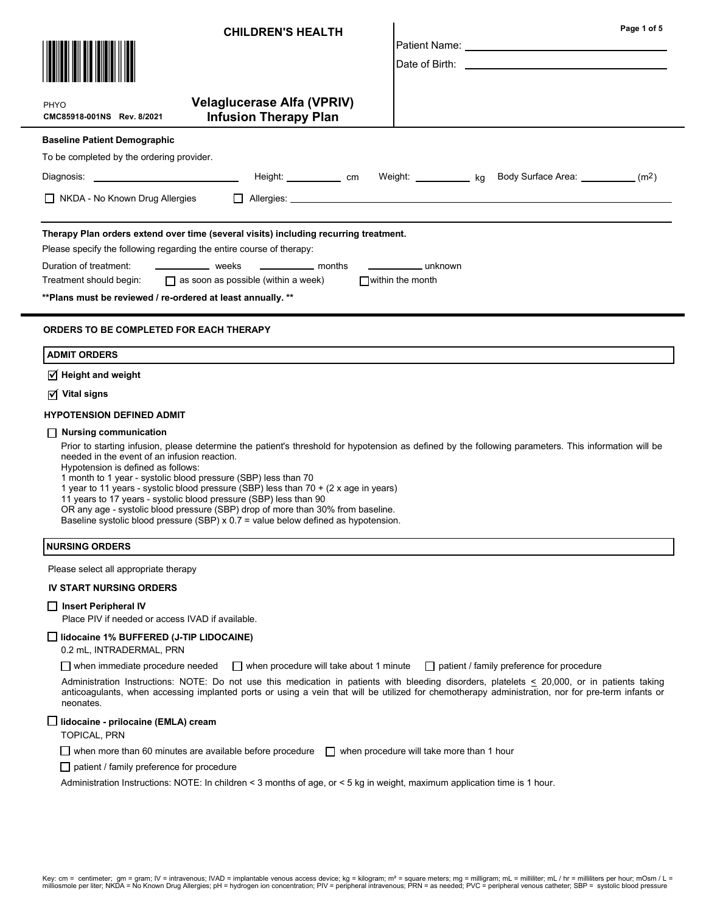| <b>CHILDREN'S HEALTH</b>                                                                                                                                                                                                                                                                                                                                                                                                                                                                                                                                                                                                                                                     | Page 1 of 5                                                                                                                                                                                                                        |
|------------------------------------------------------------------------------------------------------------------------------------------------------------------------------------------------------------------------------------------------------------------------------------------------------------------------------------------------------------------------------------------------------------------------------------------------------------------------------------------------------------------------------------------------------------------------------------------------------------------------------------------------------------------------------|------------------------------------------------------------------------------------------------------------------------------------------------------------------------------------------------------------------------------------|
|                                                                                                                                                                                                                                                                                                                                                                                                                                                                                                                                                                                                                                                                              | Patient Name: Name: Name: Name: Name: Name: Name: Name: Name: Name: Name: Name: Name: Name: Name: Name: Name: N<br>Date of Birth: <u>Communications</u> and the contract of Birth:                                                 |
|                                                                                                                                                                                                                                                                                                                                                                                                                                                                                                                                                                                                                                                                              |                                                                                                                                                                                                                                    |
| <b>Velaglucerase Alfa (VPRIV)</b><br>PHYO<br><b>Infusion Therapy Plan</b><br>CMC85918-001NS Rev. 8/2021                                                                                                                                                                                                                                                                                                                                                                                                                                                                                                                                                                      |                                                                                                                                                                                                                                    |
| <b>Baseline Patient Demographic</b>                                                                                                                                                                                                                                                                                                                                                                                                                                                                                                                                                                                                                                          |                                                                                                                                                                                                                                    |
| To be completed by the ordering provider.                                                                                                                                                                                                                                                                                                                                                                                                                                                                                                                                                                                                                                    |                                                                                                                                                                                                                                    |
| Diagnosis: _________________________________                                                                                                                                                                                                                                                                                                                                                                                                                                                                                                                                                                                                                                 | Height: _____________ cm Weight: ____________ kg Body Surface Area: ___________ (m <sup>2</sup> )                                                                                                                                  |
| $\Box$ NKDA - No Known Drug Allergies                                                                                                                                                                                                                                                                                                                                                                                                                                                                                                                                                                                                                                        | Allergies: <u>Allergies:</u> Allergies: Allergies: Allergies: Allergies: Allergies: Allergies: Allergies: Allergies: Allergies: Allergies: Allergies: Allergies: Allergies: Allergies: Allergies: Allergies: Allergies: Allergies: |
| Therapy Plan orders extend over time (several visits) including recurring treatment.<br>Please specify the following regarding the entire course of therapy:                                                                                                                                                                                                                                                                                                                                                                                                                                                                                                                 |                                                                                                                                                                                                                                    |
| Duration of treatment:<br>weeks<br>————————— months                                                                                                                                                                                                                                                                                                                                                                                                                                                                                                                                                                                                                          | ______________________ unknown                                                                                                                                                                                                     |
| $\Box$ as soon as possible (within a week)<br>Treatment should begin:                                                                                                                                                                                                                                                                                                                                                                                                                                                                                                                                                                                                        | $\Box$ within the month                                                                                                                                                                                                            |
| ** Plans must be reviewed / re-ordered at least annually. **                                                                                                                                                                                                                                                                                                                                                                                                                                                                                                                                                                                                                 |                                                                                                                                                                                                                                    |
| <b>ORDERS TO BE COMPLETED FOR EACH THERAPY</b>                                                                                                                                                                                                                                                                                                                                                                                                                                                                                                                                                                                                                               |                                                                                                                                                                                                                                    |
| <b>ADMIT ORDERS</b>                                                                                                                                                                                                                                                                                                                                                                                                                                                                                                                                                                                                                                                          |                                                                                                                                                                                                                                    |
| $\overline{\triangleleft}$ Height and weight                                                                                                                                                                                                                                                                                                                                                                                                                                                                                                                                                                                                                                 |                                                                                                                                                                                                                                    |
| $\triangledown$ Vital signs                                                                                                                                                                                                                                                                                                                                                                                                                                                                                                                                                                                                                                                  |                                                                                                                                                                                                                                    |
| <b>HYPOTENSION DEFINED ADMIT</b>                                                                                                                                                                                                                                                                                                                                                                                                                                                                                                                                                                                                                                             |                                                                                                                                                                                                                                    |
| Nursing communication<br>Prior to starting infusion, please determine the patient's threshold for hypotension as defined by the following parameters. This information will be<br>needed in the event of an infusion reaction.<br>Hypotension is defined as follows:<br>1 month to 1 year - systolic blood pressure (SBP) less than 70<br>1 year to 11 years - systolic blood pressure (SBP) less than 70 + (2 x age in years)<br>11 years to 17 years - systolic blood pressure (SBP) less than 90<br>OR any age - systolic blood pressure (SBP) drop of more than 30% from baseline.<br>Baseline systolic blood pressure (SBP) x 0.7 = value below defined as hypotension. |                                                                                                                                                                                                                                    |
| <b>NURSING ORDERS</b>                                                                                                                                                                                                                                                                                                                                                                                                                                                                                                                                                                                                                                                        |                                                                                                                                                                                                                                    |
| Please select all appropriate therapy                                                                                                                                                                                                                                                                                                                                                                                                                                                                                                                                                                                                                                        |                                                                                                                                                                                                                                    |
| <b>IV START NURSING ORDERS</b>                                                                                                                                                                                                                                                                                                                                                                                                                                                                                                                                                                                                                                               |                                                                                                                                                                                                                                    |
| $\Box$ Insert Peripheral IV<br>Place PIV if needed or access IVAD if available.                                                                                                                                                                                                                                                                                                                                                                                                                                                                                                                                                                                              |                                                                                                                                                                                                                                    |
| $\Box$ lidocaine 1% BUFFERED (J-TIP LIDOCAINE)<br>0.2 mL, INTRADERMAL, PRN                                                                                                                                                                                                                                                                                                                                                                                                                                                                                                                                                                                                   |                                                                                                                                                                                                                                    |
| $\Box$ when immediate procedure needed                                                                                                                                                                                                                                                                                                                                                                                                                                                                                                                                                                                                                                       | $\Box$ when procedure will take about 1 minute $\Box$ patient / family preference for procedure                                                                                                                                    |
| Administration Instructions: NOTE: Do not use this medication in patients with bleeding disorders, platelets < 20,000, or in patients taking<br>anticoagulants, when accessing implanted ports or using a vein that will be utilized for chemotherapy administration, nor for pre-term infants or<br>neonates.                                                                                                                                                                                                                                                                                                                                                               |                                                                                                                                                                                                                                    |
| □ lidocaine - prilocaine (EMLA) cream<br><b>TOPICAL, PRN</b>                                                                                                                                                                                                                                                                                                                                                                                                                                                                                                                                                                                                                 |                                                                                                                                                                                                                                    |
| when more than 60 minutes are available before procedure $\Box$ when procedure will take more than 1 hour                                                                                                                                                                                                                                                                                                                                                                                                                                                                                                                                                                    |                                                                                                                                                                                                                                    |
| $\Box$ patient / family preference for procedure                                                                                                                                                                                                                                                                                                                                                                                                                                                                                                                                                                                                                             |                                                                                                                                                                                                                                    |
| Administration Instructions: NOTE: In children < 3 months of age, or < 5 kg in weight, maximum application time is 1 hour.                                                                                                                                                                                                                                                                                                                                                                                                                                                                                                                                                   |                                                                                                                                                                                                                                    |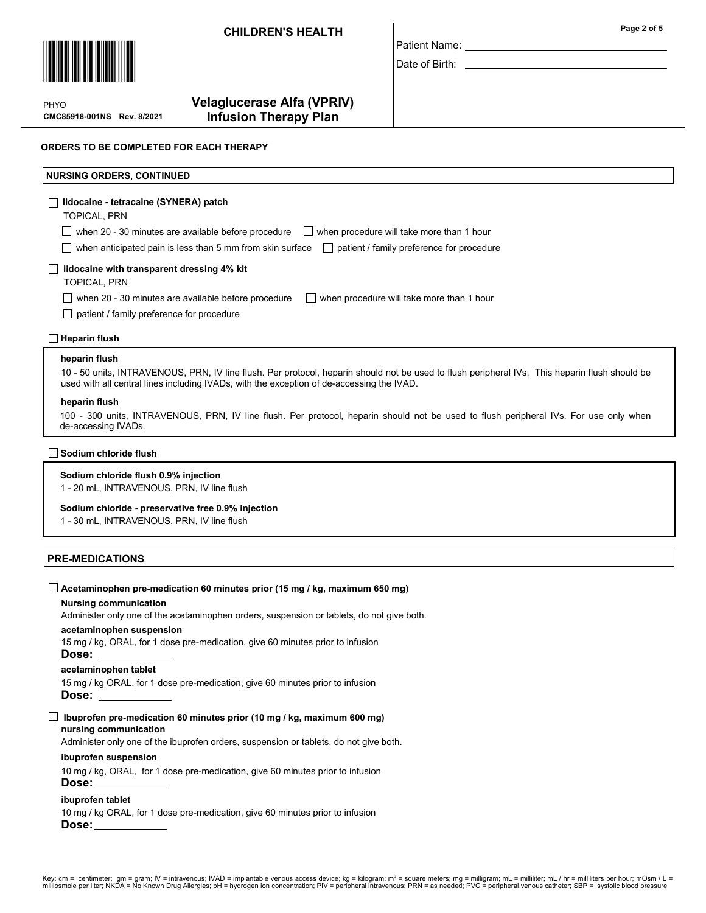

CMC85918-001NS Rev. 8/2021 PHYO

# Velaglucerase Alfa (VPRIV) Infusion Therapy Plan

### ORDERS TO BE COMPLETED FOR EACH THERAPY

### NURSING ORDERS, CONTINUED

### lidocaine - tetracaine (SYNERA) patch

TOPICAL, PRN

 $\Box$  when 20 - 30 minutes are available before procedure  $\Box$  when procedure will take more than 1 hour

when anticipated pain is less than 5 mm from skin surface  $\Box$  patient / family preference for procedure

### $\Box$  lidocaine with transparent dressing 4% kit

TOPICAL, PRN

when 20 - 30 minutes are available before procedure  $\Box$  when procedure will take more than 1 hour

 $\Box$  patient / family preference for procedure

### $\Box$  Heparin flush

#### heparin flush

10 - 50 units, INTRAVENOUS, PRN, IV line flush. Per protocol, heparin should not be used to flush peripheral IVs. This heparin flush should be used with all central lines including IVADs, with the exception of de-accessing the IVAD.

Patient Name: Date of Birth:

#### heparin flush

100 - 300 units, INTRAVENOUS, PRN, IV line flush. Per protocol, heparin should not be used to flush peripheral IVs. For use only when de-accessing IVADs.

### Sodium chloride flush

### Sodium chloride flush 0.9% injection

1 - 20 mL, INTRAVENOUS, PRN, IV line flush

#### Sodium chloride - preservative free 0.9% injection

1 - 30 mL, INTRAVENOUS, PRN, IV line flush

# PRE-MEDICATIONS Nursing communication acetaminophen suspension acetaminophen tablet Administer only one of the acetaminophen orders, suspension or tablets, do not give both. 15 mg / kg, ORAL, for 1 dose pre-medication, give 60 minutes prior to infusion Dose: 15 mg / kg ORAL, for 1 dose pre-medication, give 60 minutes prior to infusion Dose:  $\Box$  Acetaminophen pre-medication 60 minutes prior (15 mg / kg, maximum 650 mg) nursing communication ibuprofen suspension ibuprofen tablet Administer only one of the ibuprofen orders, suspension or tablets, do not give both. 10 mg / kg, ORAL, for 1 dose pre-medication, give 60 minutes prior to infusion Dose: 10 mg / kg ORAL, for 1 dose pre-medication, give 60 minutes prior to infusion Dose:  $\Box$  Ibuprofen pre-medication 60 minutes prior (10 mg / kg, maximum 600 mg)

Page 2 of 5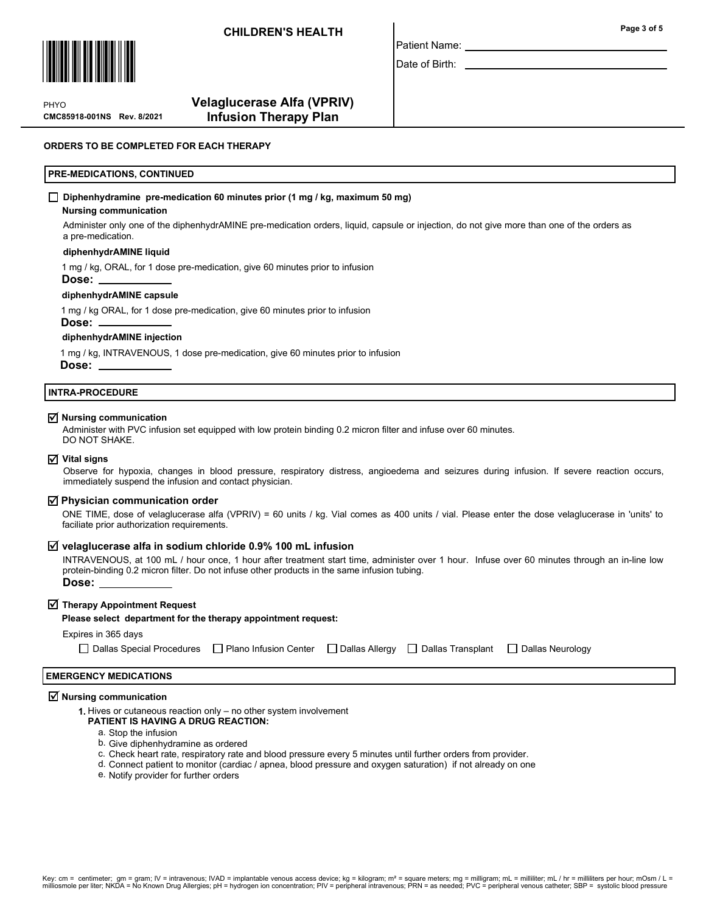

Page 3 of 5

Date of Birth:

Patient Name:

PHYO

# Velaglucerase Alfa (VPRIV) CMC85918-001NS Rev. 8/2021 Infusion Therapy Plan

### ORDERS TO BE COMPLETED FOR EACH THERAPY

### PRE-MEDICATIONS, CONTINUED

#### $\Box$  Diphenhydramine pre-medication 60 minutes prior (1 mg / kg, maximum 50 mg)

#### Nursing communication

Administer only one of the diphenhydrAMINE pre-medication orders, liquid, capsule or injection, do not give more than one of the orders as a pre-medication.

### diphenhydrAMINE liquid

1 mg / kg, ORAL, for 1 dose pre-medication, give 60 minutes prior to infusion

Dose:

#### diphenhydrAMINE capsule

1 mg / kg ORAL, for 1 dose pre-medication, give 60 minutes prior to infusion

Dose: .

#### diphenhydrAMINE injection

1 mg / kg, INTRAVENOUS, 1 dose pre-medication, give 60 minutes prior to infusion Dose:

#### INTRA-PROCEDURE

# $\overline{\mathbf{y}}$  Nursing communication

Administer with PVC infusion set equipped with low protein binding 0.2 micron filter and infuse over 60 minutes. DO NOT SHAKE.

#### $\nabla$  Vital signs

Observe for hypoxia, changes in blood pressure, respiratory distress, angioedema and seizures during infusion. If severe reaction occurs, immediately suspend the infusion and contact physician.

# $\overline{\triangleleft}$  Physician communication order

ONE TIME, dose of velaglucerase alfa (VPRIV) = 60 units / kg. Vial comes as 400 units / vial. Please enter the dose velaglucerase in 'units' to faciliate prior authorization requirements.

# $\overline{\mathsf{y}}$  velaglucerase alfa in sodium chloride 0.9% 100 mL infusion

INTRAVENOUS, at 100 mL / hour once, 1 hour after treatment start time, administer over 1 hour. Infuse over 60 minutes through an in-line low protein-binding 0.2 micron filter. Do not infuse other products in the same infusion tubing.

Dose:

# $\overline{\blacktriangleleft}$  Therapy Appointment Request

#### Please select department for the therapy appointment request:

# Expires in 365 days

Dallas Special Procedures Plano Infusion Center Dallas Allergy Dallas Transplant Dallas Neurology

### EMERGENCY MEDICATIONS

# $\overline{\mathbf{y}}$  Nursing communication

- 1. Hives or cutaneous reaction only no other system involvement
	- PATIENT IS HAVING A DRUG REACTION:
		- a. Stop the infusion
		- b. Give diphenhydramine as ordered
		- c. Check heart rate, respiratory rate and blood pressure every 5 minutes until further orders from provider.
		- d. Connect patient to monitor (cardiac / apnea, blood pressure and oxygen saturation) if not already on one
		- e. Notify provider for further orders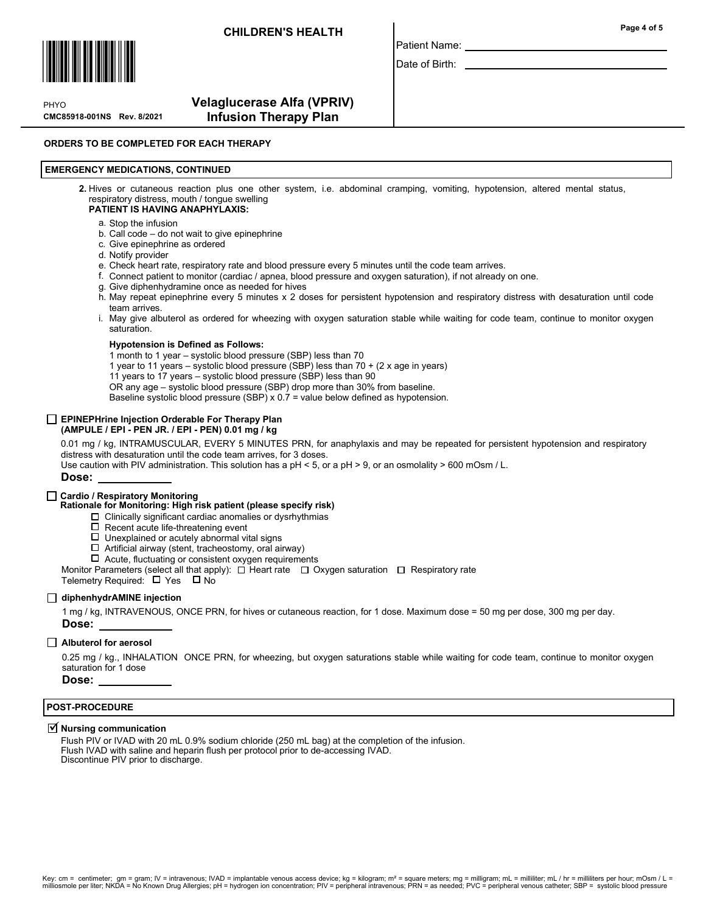

CMC85918-001NS Rev. 8/2021 PHYO

# Velaglucerase Alfa (VPRIV) Infusion Therapy Plan

### ORDERS TO BE COMPLETED FOR EACH THERAPY

### EMERGENCY MEDICATIONS, CONTINUED

2. Hives or cutaneous reaction plus one other system, i.e. abdominal cramping, vomiting, hypotension, altered mental status, respiratory distress, mouth / tongue swelling

### PATIENT IS HAVING ANAPHYLAXIS:

### a. Stop the infusion

- b. Call code do not wait to give epinephrine
- c. Give epinephrine as ordered
- d. Notify provider
- e. Check heart rate, respiratory rate and blood pressure every 5 minutes until the code team arrives.
- f. Connect patient to monitor (cardiac / apnea, blood pressure and oxygen saturation), if not already on one.
- Give diphenhydramine once as needed for hives g.
- h. May repeat epinephrine every 5 minutes x 2 doses for persistent hypotension and respiratory distress with desaturation until code team arrives.
- May give albuterol as ordered for wheezing with oxygen saturation stable while waiting for code team, continue to monitor oxygen i. saturation.

#### Hypotension is Defined as Follows:

1 month to 1 year – systolic blood pressure (SBP) less than 70

- 1 year to 11 years systolic blood pressure (SBP) less than 70 + (2 x age in years)
- 11 years to 17 years systolic blood pressure (SBP) less than 90
- OR any age systolic blood pressure (SBP) drop more than 30% from baseline.

Baseline systolic blood pressure (SBP) x 0.7 = value below defined as hypotension.

#### EPINEPHrine Injection Orderable For Therapy Plan (AMPULE / EPI - PEN JR. / EPI - PEN) 0.01 mg / kg

0.01 mg / kg, INTRAMUSCULAR, EVERY 5 MINUTES PRN, for anaphylaxis and may be repeated for persistent hypotension and respiratory distress with desaturation until the code team arrives, for 3 doses.

Use caution with PIV administration. This solution has a pH < 5, or a pH > 9, or an osmolality > 600 mOsm / L.

Dose:

### Cardio / Respiratory Monitoring

- Rationale for Monitoring: High risk patient (please specify risk)
	- Clinically significant cardiac anomalies or dysrhythmias
	- $\square$  Recent acute life-threatening event  $\square$  Unexplained or acutely abnormal vi
	- Unexplained or acutely abnormal vital signs
	- $\Box$  Artificial airway (stent, tracheostomy, oral airway)
	- $\Box$  Acute, fluctuating or consistent oxygen requirements
- Monitor Parameters (select all that apply):  $\Box$  Heart rate  $\Box$  Oxygen saturation  $\Box$  Respiratory rate

Telemetry Required:  $\Box$  Yes  $\Box$  No

### diphenhydrAMINE injection

1 mg / kg, INTRAVENOUS, ONCE PRN, for hives or cutaneous reaction, for 1 dose. Maximum dose = 50 mg per dose, 300 mg per day. Dose:

### Albuterol for aerosol

0.25 mg / kg., INHALATION ONCE PRN, for wheezing, but oxygen saturations stable while waiting for code team, continue to monitor oxygen saturation for 1 dose

Dose:

### POST-PROCEDURE

# $\overline{\trianglelefteq}$  Nursing communication

Flush PIV or IVAD with 20 mL 0.9% sodium chloride (250 mL bag) at the completion of the infusion. Flush IVAD with saline and heparin flush per protocol prior to de-accessing IVAD. Discontinue PIV prior to discharge.

Page 4 of 5

Date of Birth:

Patient Name: